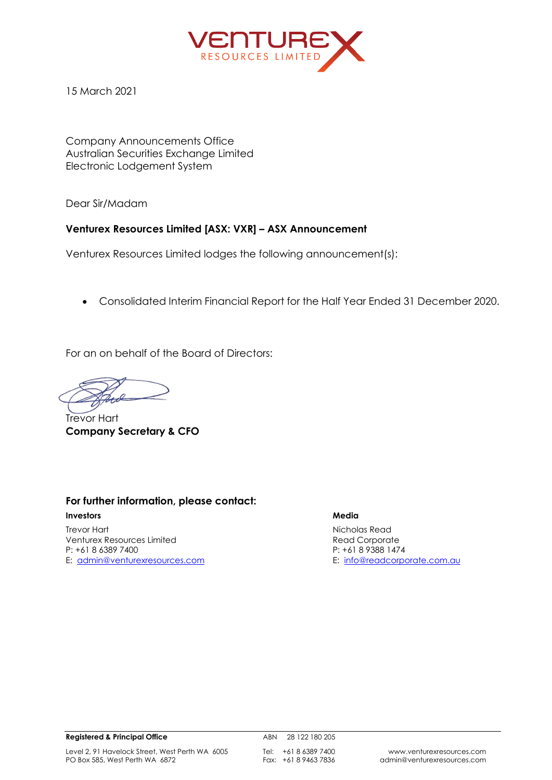

15 March 2021

Company Announcements Office Australian Securities Exchange Limited Electronic Lodgement System

Dear Sir/Madam

### **Venturex Resources Limited [ASX: VXR] – ASX Announcement**

Venturex Resources Limited lodges the following announcement(s):

• Consolidated Interim Financial Report for the Half Year Ended 31 December 2020.

For an on behalf of the Board of Directors:

Trevor Hart **Company Secretary & CFO**

# **For further information, please contact:**

**Investors Media** Trevor Hart Nicholas Read Venturex Resources Limited **Read Corporate** Read Corporate P: +61 8 6389 7400 P: +61 8 9388 1474 E: [admin@venturexresources.com](mailto:admin@venturexresources.com) extends the extendio of E: [info@readcorporate.com.au](mailto:info@readcorporate.com.au)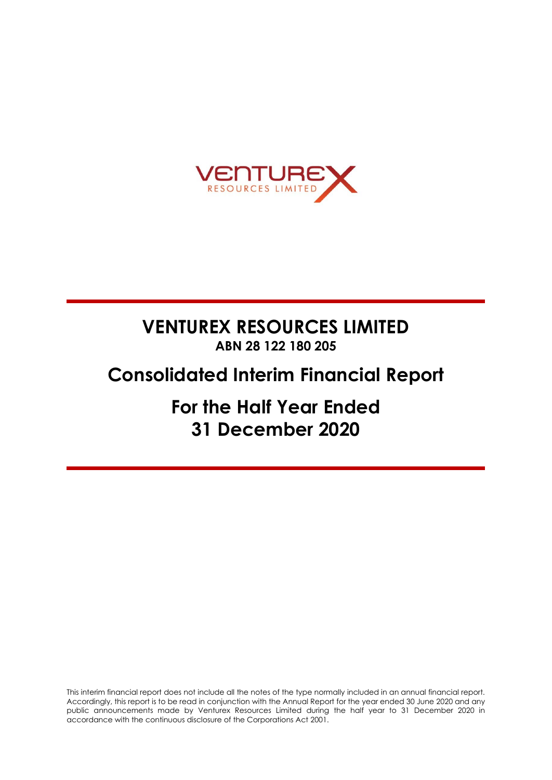

# **VENTUREX RESOURCES LIMITED ABN 28 122 180 205**

# **Consolidated Interim Financial Report**

**For the Half Year Ended 31 December 2020**

This interim financial report does not include all the notes of the type normally included in an annual financial report. Accordingly, this report is to be read in conjunction with the Annual Report for the year ended 30 June 2020 and any public announcements made by Venturex Resources Limited during the half year to 31 December 2020 in accordance with the continuous disclosure of the Corporations Act 2001.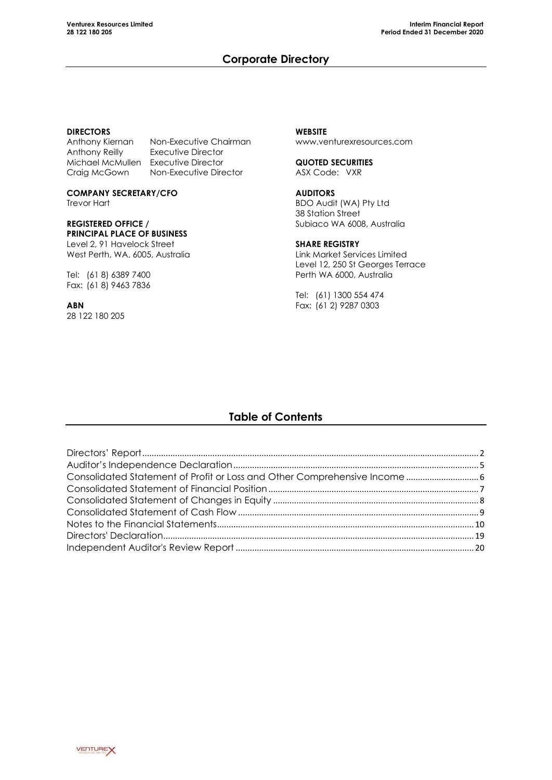# **Corporate Directory**

### **DIRECTORS**

Anthony Kiernan Non-Executive Chairman<br>Anthony Reilly Executive Director **Executive Director** Michael McMullen Executive Director Craig McGown Non-Executive Director

**COMPANY SECRETARY/CFO** Trevor Hart

### **REGISTERED OFFICE / PRINCIPAL PLACE OF BUSINESS**

Level 2, 91 Havelock Street West Perth, WA, 6005, Australia

Tel: (61 8) 6389 7400 Fax: (61 8) 9463 7836

**ABN** 28 122 180 205

### **WEBSITE** [www.venturexresources.com](http://www.venturexresources.com/)

**QUOTED SECURITIES** ASX Code: VXR

### **AUDITORS**

BDO Audit (WA) Pty Ltd 38 Station Street Subiaco WA 6008, Australia

### **SHARE REGISTRY**

Link Market Services Limited Level 12, 250 St Georges Terrace Perth WA 6000, Australia

Tel: (61) 1300 554 474 Fax: (61 2) 9287 0303

# **Table of Contents**

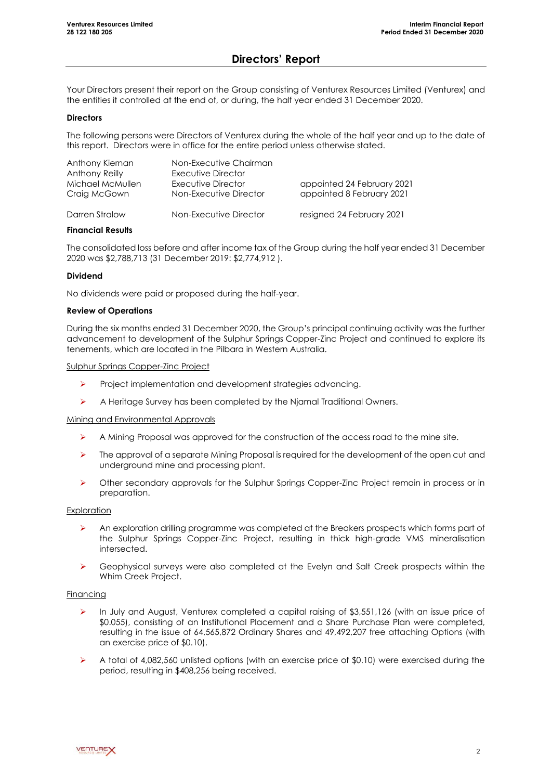# **Directors' Report**

Your Directors present their report on the Group consisting of Venturex Resources Limited (Venturex) and the entities it controlled at the end of, or during, the half year ended 31 December 2020.

#### **Directors**

The following persons were Directors of Venturex during the whole of the half year and up to the date of this report. Directors were in office for the entire period unless otherwise stated.

| Anthony Kiernan<br>Anthony Reilly<br>Michael McMullen<br>Craig McGown | Non-Executive Chairman<br>Executive Director<br>Executive Director<br>Non-Executive Director | appointed 24 February 2021<br>appointed 8 February 2021 |
|-----------------------------------------------------------------------|----------------------------------------------------------------------------------------------|---------------------------------------------------------|
| Darren Stralow                                                        | Non-Executive Director                                                                       | resigned 24 February 2021                               |

#### **Financial Results**

The consolidated loss before and after income tax of the Group during the half year ended 31 December 2020 was \$2,788,713 (31 December 2019: \$2,774,912 ).

#### **Dividend**

No dividends were paid or proposed during the half-year.

#### **Review of Operations**

During the six months ended 31 December 2020, the Group's principal continuing activity was the further advancement to development of the Sulphur Springs Copper-Zinc Project and continued to explore its tenements, which are located in the Pilbara in Western Australia.

#### Sulphur Springs Copper-Zinc Project

- ➢ Project implementation and development strategies advancing.
- ➢ A Heritage Survey has been completed by the Njamal Traditional Owners.

#### Mining and Environmental Approvals

- $\triangleright$  A Mining Proposal was approved for the construction of the access road to the mine site.
- $\triangleright$  The approval of a separate Mining Proposal is required for the development of the open cut and underground mine and processing plant.
- ➢ Other secondary approvals for the Sulphur Springs Copper-Zinc Project remain in process or in preparation.

### **Exploration**

- ➢ An exploration drilling programme was completed at the Breakers prospects which forms part of the Sulphur Springs Copper-Zinc Project, resulting in thick high-grade VMS mineralisation intersected.
- ➢ Geophysical surveys were also completed at the Evelyn and Salt Creek prospects within the Whim Creek Project.

#### Financing

- ➢ In July and August, Venturex completed a capital raising of \$3,551,126 (with an issue price of \$0.055), consisting of an Institutional Placement and a Share Purchase Plan were completed, resulting in the issue of 64,565,872 Ordinary Shares and 49,492,207 free attaching Options (with an exercise price of \$0.10).
- ➢ A total of 4,082,560 unlisted options (with an exercise price of \$0.10) were exercised during the period, resulting in \$408,256 being received.

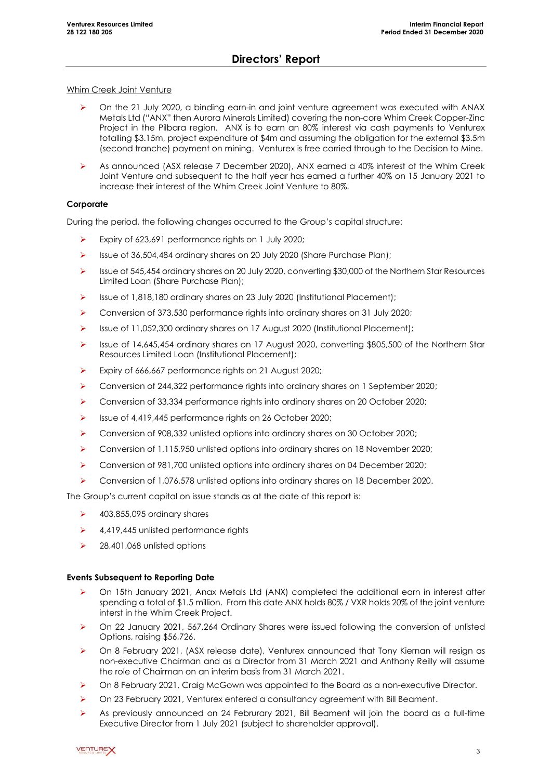# **Directors' Report**

### Whim Creek Joint Venture

- ➢ On the 21 July 2020, a binding earn-in and joint venture agreement was executed with ANAX Metals Ltd ("ANX" then Aurora Minerals Limited) covering the non-core Whim Creek Copper-Zinc Project in the Pilbara region. ANX is to earn an 80% interest via cash payments to Venturex totalling \$3.15m, project expenditure of \$4m and assuming the obligation for the external \$3.5m (second tranche) payment on mining. Venturex is free carried through to the Decision to Mine.
- As announced (ASX release 7 December 2020), ANX earned a 40% interest of the Whim Creek Joint Venture and subsequent to the half year has earned a further 40% on 15 January 2021 to increase their interest of the Whim Creek Joint Venture to 80%.

### **Corporate**

During the period, the following changes occurred to the Group's capital structure:

- ➢ Expiry of 623,691 performance rights on 1 July 2020;
- ➢ Issue of 36,504,484 ordinary shares on 20 July 2020 (Share Purchase Plan);
- ➢ Issue of 545,454 ordinary shares on 20 July 2020, converting \$30,000 of the Northern Star Resources Limited Loan (Share Purchase Plan);
- ➢ Issue of 1,818,180 ordinary shares on 23 July 2020 (Institutional Placement);
- ➢ Conversion of 373,530 performance rights into ordinary shares on 31 July 2020;
- ➢ Issue of 11,052,300 ordinary shares on 17 August 2020 (Institutional Placement);
- ➢ Issue of 14,645,454 ordinary shares on 17 August 2020, converting \$805,500 of the Northern Star Resources Limited Loan (Institutional Placement);
- ➢ Expiry of 666,667 performance rights on 21 August 2020;
- ➢ Conversion of 244,322 performance rights into ordinary shares on 1 September 2020;
- ➢ Conversion of 33,334 performance rights into ordinary shares on 20 October 2020;
- ➢ Issue of 4,419,445 performance rights on 26 October 2020;
- ➢ Conversion of 908,332 unlisted options into ordinary shares on 30 October 2020;
- ➢ Conversion of 1,115,950 unlisted options into ordinary shares on 18 November 2020;
- ➢ Conversion of 981,700 unlisted options into ordinary shares on 04 December 2020;
- ➢ Conversion of 1,076,578 unlisted options into ordinary shares on 18 December 2020.

The Group's current capital on issue stands as at the date of this report is:

- $\blacktriangleright$  403,855,095 ordinary shares
- ➢ 4,419,445 unlisted performance rights
- ➢ 28,401,068 unlisted options

### **Events Subsequent to Reporting Date**

- ➢ On 15th January 2021, Anax Metals Ltd (ANX) completed the additional earn in interest after spending a total of \$1.5 million. From this date ANX holds 80% / VXR holds 20% of the joint venture interst in the Whim Creek Project.
- ➢ On 22 January 2021, 567,264 Ordinary Shares were issued following the conversion of unlisted Options, raising \$56,726.
- ➢ On 8 February 2021, (ASX release date), Venturex announced that Tony Kiernan will resign as non-executive Chairman and as a Director from 31 March 2021 and Anthony Reilly will assume the role of Chairman on an interim basis from 31 March 2021.
- ➢ On 8 February 2021, Craig McGown was appointed to the Board as a non-executive Director.
- ➢ On 23 February 2021, Venturex entered a consultancy agreement with Bill Beament.
- ➢ As previously announced on 24 Februrary 2021, Bill Beament will join the board as a full-time Executive Director from 1 July 2021 (subject to shareholder approval).

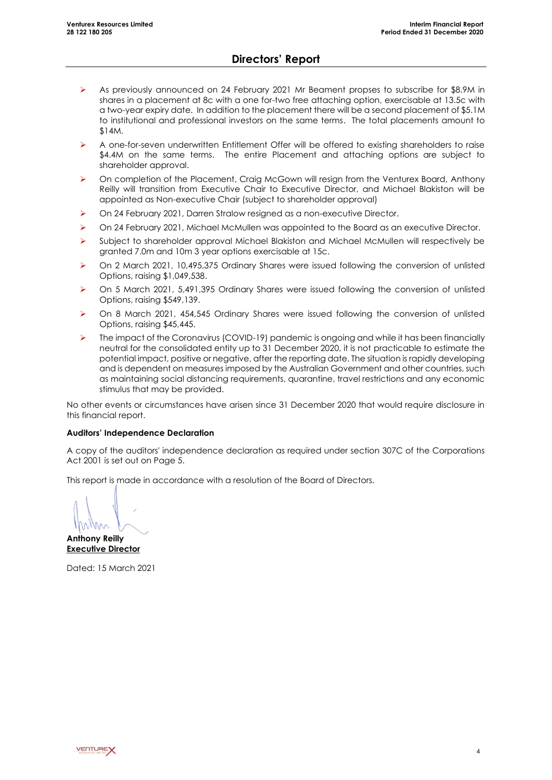## **Directors' Report**

- As previously announced on 24 February 2021 Mr Beament propses to subscribe for \$8.9M in shares in a placement at 8c with a one for-two free attaching option, exercisable at 13.5c with a two-year expiry date. In addition to the placement there will be a second placement of \$5.1M to institutional and professional investors on the same terms. The total placements amount to \$14M.
- ➢ A one-for-seven underwritten Entitlement Offer will be offered to existing shareholders to raise \$4.4M on the same terms. The entire Placement and attaching options are subject to shareholder approval.
- ➢ On completion of the Placement, Craig McGown will resign from the Venturex Board, Anthony Reilly will transition from Executive Chair to Executive Director, and Michael Blakiston will be appointed as Non-executive Chair (subject to shareholder approval)
- ➢ On 24 February 2021, Darren Stralow resigned as a non-executive Director.
- ➢ On 24 February 2021, Michael McMullen was appointed to the Board as an executive Director.
- ➢ Subject to shareholder approval Michael Blakiston and Michael McMullen will respectively be granted 7.0m and 10m 3 year options exercisable at 15c.
- ➢ On 2 March 2021, 10,495,375 Ordinary Shares were issued following the conversion of unlisted Options, raising \$1,049,538.
- ➢ On 5 March 2021, 5,491,395 Ordinary Shares were issued following the conversion of unlisted Options, raising \$549,139.
- ➢ On 8 March 2021, 454,545 Ordinary Shares were issued following the conversion of unlisted Options, raising \$45,445.
- $\triangleright$  The impact of the Coronavirus (COVID-19) pandemic is ongoing and while it has been financially neutral for the consolidated entity up to 31 December 2020, it is not practicable to estimate the potential impact, positive or negative, after the reporting date. The situation is rapidly developing and is dependent on measures imposed by the Australian Government and other countries, such as maintaining social distancing requirements, quarantine, travel restrictions and any economic stimulus that may be provided.

No other events or circumstances have arisen since 31 December 2020 that would require disclosure in this financial report.

### **Auditors' Independence Declaration**

A copy of the auditors' independence declaration as required under section 307C of the Corporations Act 2001 is set out on Page 5.

This report is made in accordance with a resolution of the Board of Directors.

**Anthony Reilly Executive Director**

Dated: 15 March 2021

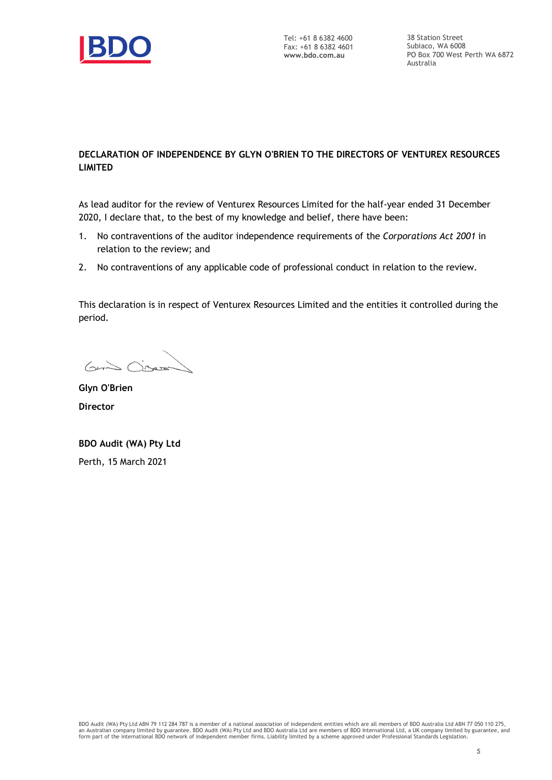

Tel: +61 8 6382 4600 Fax: +61 8 6382 4601 **www.bdo.com.au**

38 Station Street Subiaco, WA 6008 PO Box 700 West Perth WA 6872 Australia

### **DECLARATION OF INDEPENDENCE BY GLYN O'BRIEN TO THE DIRECTORS OF VENTUREX RESOURCES LIMITED**

As lead auditor for the review of Venturex Resources Limited for the half-year ended 31 December 2020, I declare that, to the best of my knowledge and belief, there have been:

- 1. No contraventions of the auditor independence requirements of the *Corporations Act 2001* in relation to the review; and
- 2. No contraventions of any applicable code of professional conduct in relation to the review.

This declaration is in respect of Venturex Resources Limited and the entities it controlled during the period.

Guido Oren

**Glyn O'Brien Director**

**BDO Audit (WA) Pty Ltd** Perth, 15 March 2021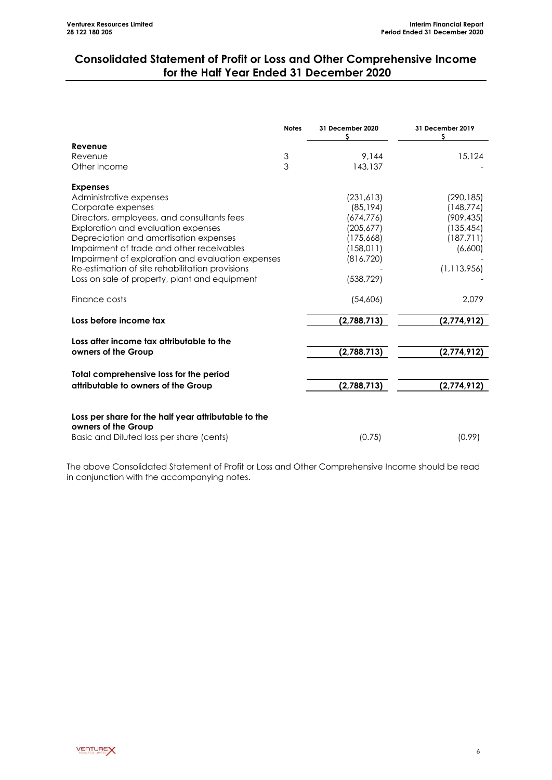# **Consolidated Statement of Profit or Loss and Other Comprehensive Income for the Half Year Ended 31 December 2020**

|                                                      | <b>Notes</b> | 31 December 2020<br>\$ | 31 December 2019<br>\$ |
|------------------------------------------------------|--------------|------------------------|------------------------|
| Revenue                                              |              |                        |                        |
| Revenue                                              | 3            | 9.144                  | 15,124                 |
| Other Income                                         | 3            | 143,137                |                        |
| <b>Expenses</b>                                      |              |                        |                        |
| Administrative expenses                              |              | (231, 613)             | (290, 185)             |
| Corporate expenses                                   |              | (85, 194)              | (148,774)              |
| Directors, employees, and consultants fees           |              | (674, 776)             | (909, 435)             |
| Exploration and evaluation expenses                  |              | (205, 677)             | (135, 454)             |
| Depreciation and amortisation expenses               |              | (175,668)              | (187, 711)             |
| Impairment of trade and other receivables            |              | (158, 011)             | (6,600)                |
| Impairment of exploration and evaluation expenses    |              | (816, 720)             |                        |
| Re-estimation of site rehabilitation provisions      |              |                        | (1, 113, 956)          |
| Loss on sale of property, plant and equipment        |              | (538, 729)             |                        |
| Finance costs                                        |              | (54,606)               | 2,079                  |
| Loss before income tax                               |              | (2,788,713)            | (2,774,912)            |
| Loss after income tax attributable to the            |              |                        |                        |
| owners of the Group                                  |              | (2,788,713)            | (2,774,912)            |
| Total comprehensive loss for the period              |              |                        |                        |
| attributable to owners of the Group                  |              | (2,788,713)            | (2,774,912)            |
|                                                      |              |                        |                        |
| Loss per share for the half year attributable to the |              |                        |                        |
| owners of the Group                                  |              |                        |                        |
| Basic and Diluted loss per share (cents)             |              | (0.75)                 | (0.99)                 |

The above Consolidated Statement of Profit or Loss and Other Comprehensive Income should be read in conjunction with the accompanying notes.

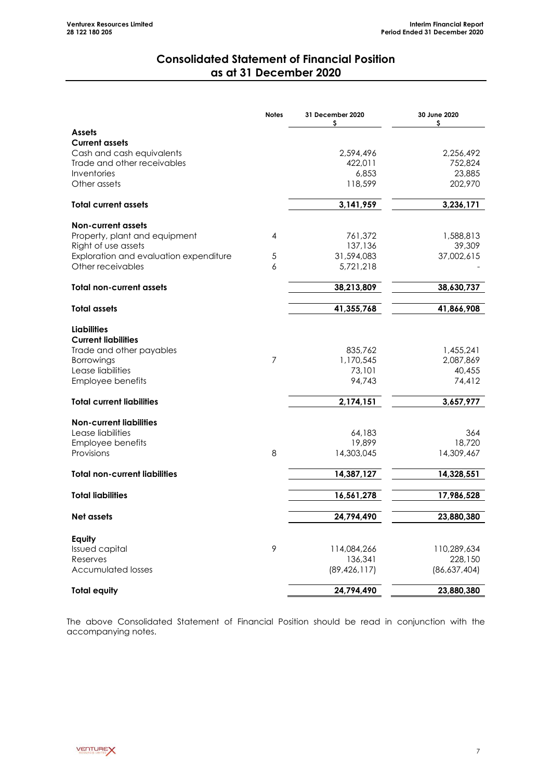# **Consolidated Statement of Financial Position as at 31 December 2020**

<span id="page-8-0"></span>

|                                                          | <b>Notes</b>   | 31 December 2020<br>s | 30 June 2020<br>\$     |
|----------------------------------------------------------|----------------|-----------------------|------------------------|
| <b>Assets</b>                                            |                |                       |                        |
| <b>Current assets</b>                                    |                |                       |                        |
| Cash and cash equivalents<br>Trade and other receivables |                | 2,594,496             | 2,256,492<br>752,824   |
| Inventories                                              |                | 422,011<br>6,853      | 23,885                 |
| Other assets                                             |                | 118,599               | 202,970                |
| <b>Total current assets</b>                              |                | 3,141,959             | 3,236,171              |
| <b>Non-current assets</b>                                |                |                       |                        |
| Property, plant and equipment                            | 4              | 761,372               | 1,588,813              |
| Right of use assets                                      |                | 137,136               | 39,309                 |
| Exploration and evaluation expenditure                   | 5              | 31,594,083            | 37,002,615             |
| Other receivables                                        | 6              | 5,721,218             |                        |
| <b>Total non-current assets</b>                          |                | 38,213,809            | 38,630,737             |
| <b>Total assets</b>                                      |                | 41,355,768            | 41,866,908             |
|                                                          |                |                       |                        |
| <b>Liabilities</b>                                       |                |                       |                        |
| <b>Current liabilities</b><br>Trade and other payables   |                | 835,762               |                        |
| <b>Borrowings</b>                                        | $\overline{7}$ | 1,170,545             | 1,455,241<br>2,087,869 |
| Lease liabilities                                        |                | 73,101                | 40,455                 |
| Employee benefits                                        |                | 94,743                | 74,412                 |
| <b>Total current liabilities</b>                         |                | 2,174,151             | 3,657,977              |
|                                                          |                |                       |                        |
| <b>Non-current liabilities</b><br>Lease liabilities      |                |                       |                        |
| Employee benefits                                        |                | 64,183<br>19,899      | 364<br>18,720          |
| Provisions                                               | 8              | 14,303,045            | 14,309,467             |
| <b>Total non-current liabilities</b>                     |                | 14,387,127            | 14,328,551             |
|                                                          |                |                       |                        |
| <b>Total liabilities</b>                                 |                | 16,561,278            | 17,986,528             |
| Net assets                                               |                | 24,794,490            | 23,880,380             |
| Equity                                                   |                |                       |                        |
| <b>Issued capital</b>                                    | 9              | 114,084,266           | 110,289,634            |
| Reserves                                                 |                | 136,341               | 228,150                |
| <b>Accumulated losses</b>                                |                | (89, 426, 117)        | (86,637,404)           |
| <b>Total equity</b>                                      |                | 24,794,490            | 23,880,380             |

The above Consolidated Statement of Financial Position should be read in conjunction with the accompanying notes.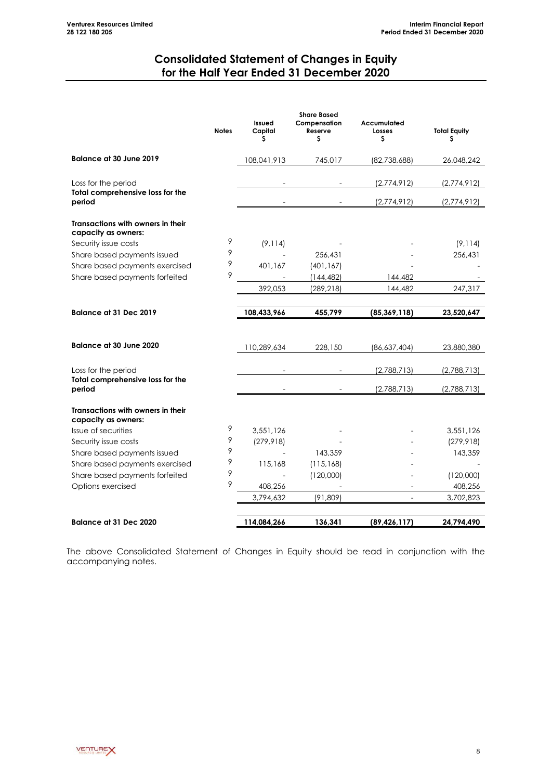# **Consolidated Statement of Changes in Equity for the Half Year Ended 31 December 2020**

<span id="page-9-0"></span>

|                                                          | <b>Notes</b> | Issued<br>Capital<br>s | <b>Share Based</b><br>Compensation<br>Reserve<br>s | Accumulated<br>Losses<br>\$ | <b>Total Equity</b><br>\$ |
|----------------------------------------------------------|--------------|------------------------|----------------------------------------------------|-----------------------------|---------------------------|
| <b>Balance at 30 June 2019</b>                           |              | 108,041,913            | 745,017                                            | (82,738,688)                | 26,048,242                |
| Loss for the period                                      |              |                        |                                                    | (2,774,912)                 | (2,774,912)               |
| Total comprehensive loss for the<br>period               |              |                        |                                                    | (2,774,912)                 | (2,774,912)               |
| Transactions with owners in their<br>capacity as owners: |              |                        |                                                    |                             |                           |
| Security issue costs                                     | 9            | (9, 114)               |                                                    |                             | (9, 114)                  |
| Share based payments issued                              | 9            |                        | 256,431                                            |                             | 256,431                   |
| Share based payments exercised                           | 9            | 401,167                | (401, 167)                                         |                             |                           |
| Share based payments forfeited                           | 9            |                        | (144,482)                                          | 144,482                     |                           |
|                                                          |              | 392,053                | (289, 218)                                         | 144,482                     | 247,317                   |
| <b>Balance at 31 Dec 2019</b>                            |              | 108,433,966            | 455,799                                            | (85, 369, 118)              | 23,520,647                |
| Balance at 30 June 2020                                  |              | 110,289,634            | 228,150                                            | (86,637,404)                | 23,880,380                |
| Loss for the period                                      |              |                        |                                                    | (2,788,713)                 | (2,788,713)               |
| Total comprehensive loss for the<br>period               |              |                        |                                                    | (2,788,713)                 | (2,788,713)               |
| Transactions with owners in their<br>capacity as owners: |              |                        |                                                    |                             |                           |
| Issue of securities                                      | 9            | 3,551,126              |                                                    |                             | 3,551,126                 |
| Security issue costs                                     | 9            | (279, 918)             |                                                    |                             | (279, 918)                |
| Share based payments issued                              | 9            |                        | 143,359                                            |                             | 143,359                   |
| Share based payments exercised                           | 9            | 115,168                | (115, 168)                                         |                             |                           |
| Share based payments forfeited                           | 9            |                        | (120,000)                                          |                             | (120,000)                 |
| Options exercised                                        | 9            | 408,256                |                                                    | $\overline{\phantom{a}}$    | 408,256                   |
|                                                          |              | 3,794,632              | (91,809)                                           | $\overline{\phantom{a}}$    | 3,702,823                 |
| Balance at 31 Dec 2020                                   |              | 114,084,266            | 136,341                                            | (89, 426, 117)              | 24,794,490                |

The above Consolidated Statement of Changes in Equity should be read in conjunction with the accompanying notes.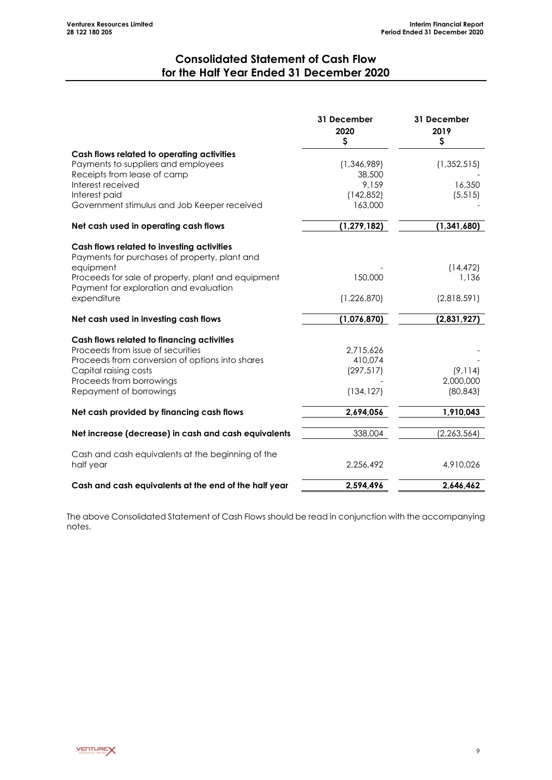# **Consolidated Statement of Cash Flow for the Half Year Ended 31 December 2020**

<span id="page-10-0"></span>

|                                                                                              | 31 December<br>2020<br>\$ | 31 December<br>2019<br>\$ |
|----------------------------------------------------------------------------------------------|---------------------------|---------------------------|
| Cash flows related to operating activities                                                   |                           |                           |
| Payments to suppliers and employees                                                          | (1, 346, 989)             | (1, 352, 515)             |
| Receipts from lease of camp                                                                  | 38,500                    |                           |
| Interest received                                                                            | 9,159                     | 16,350                    |
| Interest paid                                                                                | (142, 852)                | (5, 515)                  |
| Government stimulus and Job Keeper received                                                  | 163,000                   |                           |
| Net cash used in operating cash flows                                                        | (1, 279, 182)             | (1, 341, 680)             |
| Cash flows related to investing activities<br>Payments for purchases of property, plant and  |                           |                           |
| equipment                                                                                    |                           | (14, 472)                 |
| Proceeds for sale of property, plant and equipment<br>Payment for exploration and evaluation | 150,000                   | 1,136                     |
| expenditure                                                                                  | (1,226,870)               | (2,818,591)               |
| Net cash used in investing cash flows                                                        | (1,076,870)               | (2,831,927)               |
| Cash flows related to financing activities                                                   |                           |                           |
| Proceeds from issue of securities                                                            | 2,715,626                 |                           |
| Proceeds from conversion of options into shares                                              | 410,074                   |                           |
| Capital raising costs                                                                        | (297, 517)                | (9, 114)                  |
| Proceeds from borrowings                                                                     |                           | 2,000,000                 |
| Repayment of borrowings                                                                      | (134, 127)                | (80, 843)                 |
| Net cash provided by financing cash flows                                                    | 2,694,056                 | 1,910,043                 |
| Net increase (decrease) in cash and cash equivalents                                         | 338,004                   | (2, 263, 564)             |
| Cash and cash equivalents at the beginning of the                                            |                           |                           |
| half year                                                                                    | 2,256,492                 | 4,910,026                 |
| Cash and cash equivalents at the end of the half year                                        | 2,594,496                 | 2,646,462                 |

The above Consolidated Statement of Cash Flows should be read in conjunction with the accompanying notes.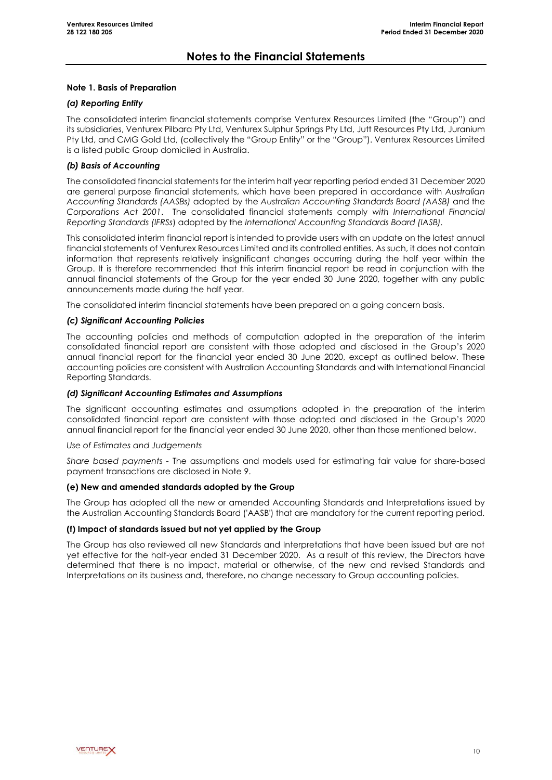### **Note 1. Basis of Preparation**

### *(a) Reporting Entity*

The consolidated interim financial statements comprise Venturex Resources Limited (the "Group") and its subsidiaries, Venturex Pilbara Pty Ltd, Venturex Sulphur Springs Pty Ltd, Jutt Resources Pty Ltd, Juranium Pty Ltd, and CMG Gold Ltd, (collectively the "Group Entity" or the "Group"). Venturex Resources Limited is a listed public Group domiciled in Australia.

### *(b) Basis of Accounting*

The consolidated financial statements for the interim half year reporting period ended 31 December 2020 are general purpose financial statements, which have been prepared in accordance with *Australian Accounting Standards (AASBs)* adopted by the *Australian Accounting Standards Board (AASB)* and the *Corporations Act 2001*. The consolidated financial statements comply *with International Financial Reporting Standards (IFRSs*) adopted by the *International Accounting Standards Board (IASB).*

This consolidated interim financial report is intended to provide users with an update on the latest annual financial statements of Venturex Resources Limited and its controlled entities. As such, it does not contain information that represents relatively insignificant changes occurring during the half year within the Group. It is therefore recommended that this interim financial report be read in conjunction with the annual financial statements of the Group for the year ended 30 June 2020, together with any public announcements made during the half year.

The consolidated interim financial statements have been prepared on a going concern basis.

#### *(c) Significant Accounting Policies*

The accounting policies and methods of computation adopted in the preparation of the interim consolidated financial report are consistent with those adopted and disclosed in the Group's 2020 annual financial report for the financial year ended 30 June 2020, except as outlined below. These accounting policies are consistent with Australian Accounting Standards and with International Financial Reporting Standards.

#### *(d) Significant Accounting Estimates and Assumptions*

The significant accounting estimates and assumptions adopted in the preparation of the interim consolidated financial report are consistent with those adopted and disclosed in the Group's 2020 annual financial report for the financial year ended 30 June 2020, other than those mentioned below.

#### *Use of Estimates and Judgements*

*Share based payments -* The assumptions and models used for estimating fair value for share-based payment transactions are disclosed in Note 9.

### **(e) New and amended standards adopted by the Group**

The Group has adopted all the new or amended Accounting Standards and Interpretations issued by the Australian Accounting Standards Board ('AASB') that are mandatory for the current reporting period.

#### **(f) Impact of standards issued but not yet applied by the Group**

The Group has also reviewed all new Standards and Interpretations that have been issued but are not yet effective for the half-year ended 31 December 2020. As a result of this review, the Directors have determined that there is no impact, material or otherwise, of the new and revised Standards and Interpretations on its business and, therefore, no change necessary to Group accounting policies.

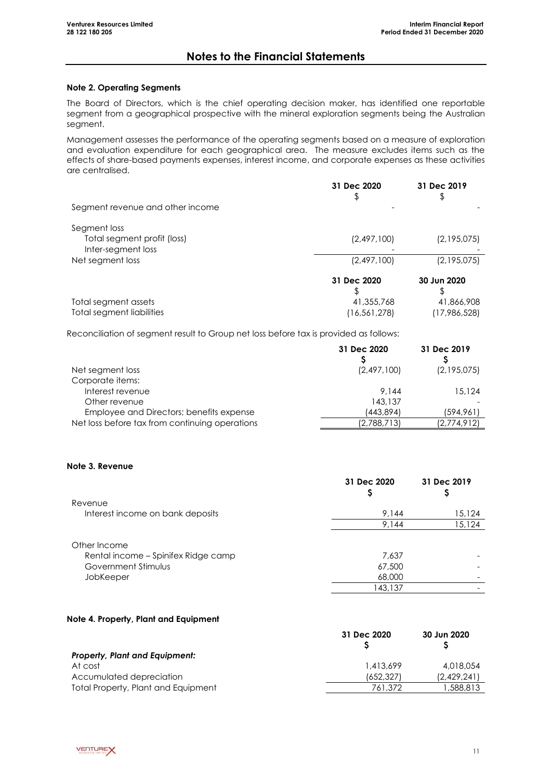### **Note 2. Operating Segments**

The Board of Directors, which is the chief operating decision maker, has identified one reportable segment from a geographical prospective with the mineral exploration segments being the Australian segment.

Management assesses the performance of the operating segments based on a measure of exploration and evaluation expenditure for each geographical area. The measure excludes items such as the effects of share-based payments expenses, interest income, and corporate expenses as these activities are centralised.

|                                                   | 31 Dec 2020<br>\$ | 31 Dec 2019  |
|---------------------------------------------------|-------------------|--------------|
| Segment revenue and other income                  |                   |              |
| Segment loss                                      |                   |              |
| Total segment profit (loss)<br>Inter-segment loss | (2,497,100)       | (2,195,075)  |
| Net segment loss                                  | (2, 497, 100)     | (2,195,075)  |
|                                                   | 31 Dec 2020       | 30 Jun 2020  |
|                                                   |                   |              |
| Total segment assets                              | 41,355,768        | 41,866,908   |
| Total segment liabilities                         | (16,561,278)      | (17,986,528) |

Reconciliation of segment result to Group net loss before tax is provided as follows:

|                                                | 31 Dec 2020 | 31 Dec 2019 |
|------------------------------------------------|-------------|-------------|
| Net segment loss                               | (2,497,100) | (2,195,075) |
| Corporate items:                               |             |             |
| Interest revenue                               | 9.144       | 15,124      |
| Other revenue                                  | 143,137     |             |
| Employee and Directors; benefits expense       | (443,894)   | (594,961)   |
| Net loss before tax from continuing operations | (2,788,713) | (2,774,912) |

### **Note 3. Revenue**

|                                                                                         | 31 Dec 2020                          | 31 Dec 2019 |
|-----------------------------------------------------------------------------------------|--------------------------------------|-------------|
| Revenue                                                                                 |                                      |             |
| Interest income on bank deposits                                                        | 9,144                                | 15,124      |
|                                                                                         | 9,144                                | 15,124      |
| Other Income<br>Rental income - Spinifex Ridge camp<br>Government Stimulus<br>JobKeeper | 7,637<br>67,500<br>68,000<br>143,137 |             |

### **Note 4. Property, Plant and Equipment**

|                                       | 31 Dec 2020 | 30 Jun 2020 |
|---------------------------------------|-------------|-------------|
| <b>Property, Plant and Equipment:</b> |             |             |
| At cost                               | 1,413,699   | 4,018,054   |
| Accumulated depreciation              | (652.327)   | (2.429.241) |
| Total Property, Plant and Equipment   | 761.372     | 1,588,813   |

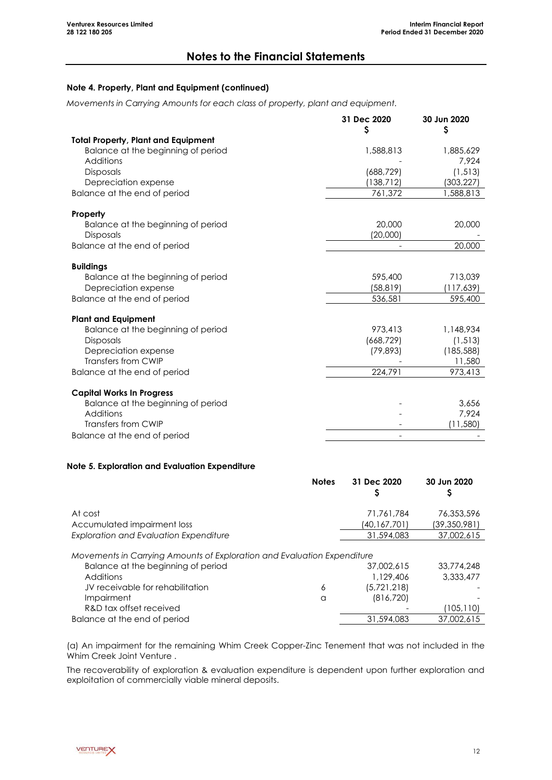### **Note 4. Property, Plant and Equipment (continued)**

*Movements in Carrying Amounts for each class of property, plant and equipment.*

|                                            | 31 Dec 2020<br>Ş | 30 Jun 2020<br>\$ |
|--------------------------------------------|------------------|-------------------|
| <b>Total Property, Plant and Equipment</b> |                  |                   |
| Balance at the beginning of period         | 1,588,813        | 1,885,629         |
| Additions                                  |                  | 7,924             |
| <b>Disposals</b>                           | (688, 729)       | (1, 513)          |
| Depreciation expense                       | (138, 712)       | (303, 227)        |
| Balance at the end of period               | 761,372          | 1,588,813         |
| Property                                   |                  |                   |
| Balance at the beginning of period         | 20,000           | 20,000            |
| <b>Disposals</b>                           | (20,000)         |                   |
| Balance at the end of period               |                  | 20,000            |
| <b>Buildings</b>                           |                  |                   |
| Balance at the beginning of period         | 595,400          | 713,039           |
| Depreciation expense                       | (58, 819)        | (117,639)         |
| Balance at the end of period               | 536,581          | 595,400           |
| <b>Plant and Equipment</b>                 |                  |                   |
| Balance at the beginning of period         | 973,413          | 1,148,934         |
| <b>Disposals</b>                           | (668, 729)       | (1, 513)          |
| Depreciation expense                       | (79, 893)        | (185, 588)        |
| Transfers from CWIP                        |                  | 11,580            |
| Balance at the end of period               | 224,791          | 973,413           |
| <b>Capital Works In Progress</b>           |                  |                   |
| Balance at the beginning of period         |                  | 3,656             |
| Additions                                  |                  | 7.924             |
| Transfers from CWIP                        |                  | (11,580)          |
| Balance at the end of period               |                  |                   |

### **Note 5. Exploration and Evaluation Expenditure**

|                                                                                                                            | <b>Notes</b> | 31 Dec 2020             | 30 Jun 2020             |
|----------------------------------------------------------------------------------------------------------------------------|--------------|-------------------------|-------------------------|
| At cost                                                                                                                    |              | 71,761,784              | 76,353,596              |
| Accumulated impairment loss                                                                                                |              | (40,167,701)            | (39,350,981)            |
| <b>Exploration and Evaluation Expenditure</b>                                                                              |              | 31,594,083              | 37,002,615              |
| Movements in Carrying Amounts of Exploration and Evaluation Expenditure<br>Balance at the beginning of period<br>Additions |              | 37,002,615<br>1,129,406 | 33,774,248<br>3.333.477 |
| JV receivable for rehabilitation                                                                                           | 6            | (5, 721, 218)           |                         |
| Impairment                                                                                                                 | a            | (816, 720)              |                         |
| R&D tax offset received                                                                                                    |              |                         | (105, 110)              |
| Balance at the end of period                                                                                               |              | 31,594,083              | 37,002,615              |

(a) An impairment for the remaining Whim Creek Copper-Zinc Tenement that was not included in the Whim Creek Joint Venture .

The recoverability of exploration & evaluation expenditure is dependent upon further exploration and exploitation of commercially viable mineral deposits.

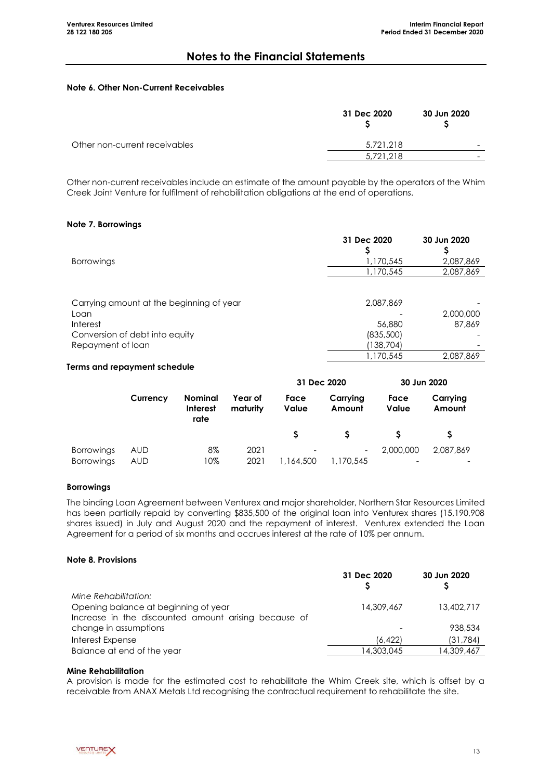### **Note 6. Other Non-Current Receivables**

|                               | 31 Dec 2020 | 30 Jun 2020 |
|-------------------------------|-------------|-------------|
| Other non-current receivables | 5.721.218   |             |
|                               | 5.721.218   |             |
|                               |             |             |

Other non-current receivables include an estimate of the amount payable by the operators of the Whim Creek Joint Venture for fulfilment of rehabilitation obligations at the end of operations.

### **Note 7. Borrowings**

|                                          | 31 Dec 2020 | 30 Jun 2020 |
|------------------------------------------|-------------|-------------|
|                                          |             |             |
| <b>Borrowings</b>                        | 1,170,545   | 2,087,869   |
|                                          | 1,170,545   | 2,087,869   |
|                                          |             |             |
| Carrying amount at the beginning of year | 2,087,869   |             |
| Loan                                     |             | 2,000,000   |
| Interest                                 | 56,880      | 87,869      |
| Conversion of debt into equity           | (835,500)   |             |
| Repayment of loan                        | (138, 704)  |             |
|                                          | 1,170,545   | 2.087.869   |

#### **Terms and repayment schedule**

|                                        |                   |                                    |                     | 31 Dec 2020                           | 30 Jun 2020        |               |                    |
|----------------------------------------|-------------------|------------------------------------|---------------------|---------------------------------------|--------------------|---------------|--------------------|
|                                        | Currency          | Nominal<br><b>Interest</b><br>rate | Year of<br>maturity | Face<br><b>Value</b>                  | Carrying<br>Amount | Face<br>Value | Carrying<br>Amount |
|                                        |                   |                                    |                     |                                       |                    |               |                    |
| <b>Borrowings</b><br><b>Borrowings</b> | AUD<br><b>AUD</b> | 8%<br>10%                          | 2021<br>2021        | $\overline{\phantom{0}}$<br>1,164,500 | -<br>1,170,545     | 2,000,000     | 2.087.869          |

### **Borrowings**

The binding Loan Agreement between Venturex and major shareholder, Northern Star Resources Limited has been partially repaid by converting \$835,500 of the original loan into Venturex shares (15,190,908 shares issued) in July and August 2020 and the repayment of interest. Venturex extended the Loan Agreement for a period of six months and accrues interest at the rate of 10% per annum.

### **Note 8. Provisions**

|                                                      | 31 Dec 2020 | 30 Jun 2020 |
|------------------------------------------------------|-------------|-------------|
| Mine Rehabilitation:                                 |             |             |
| Opening balance at beginning of year                 | 14,309,467  | 13,402,717  |
| Increase in the discounted amount arising because of |             |             |
| change in assumptions                                |             | 938,534     |
| Interest Expense                                     | (6.422)     | (31,784)    |
| Balance at end of the year                           | 14,303,045  | 14,309,467  |

#### **Mine Rehabilitation**

A provision is made for the estimated cost to rehabilitate the Whim Creek site, which is offset by a receivable from ANAX Metals Ltd recognising the contractual requirement to rehabilitate the site.

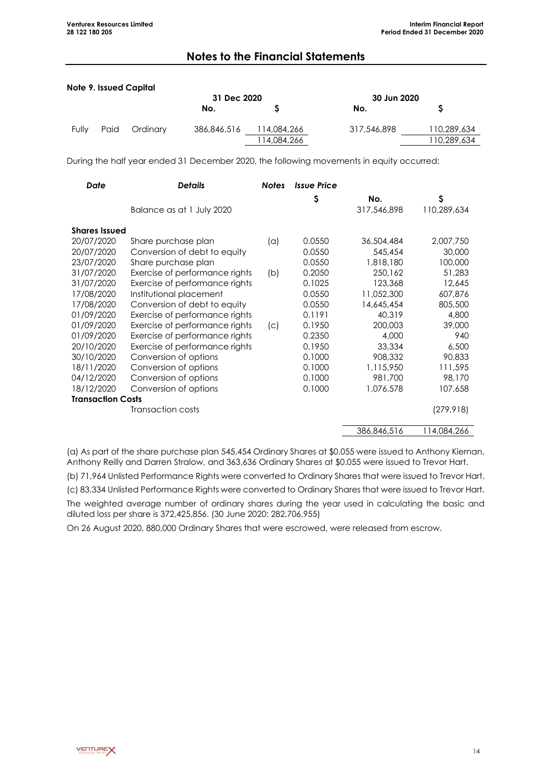|       |      | Note 9. Issued Capital |             |             |             |             |
|-------|------|------------------------|-------------|-------------|-------------|-------------|
|       |      |                        | 31 Dec 2020 |             | 30 Jun 2020 |             |
|       |      |                        | No.         |             | No.         |             |
| Fully | Paid | Ordinary               | 386,846,516 | 114,084,266 | 317,546,898 | 110,289,634 |
|       |      |                        |             | 114,084,266 |             | 110,289,634 |

During the half year ended 31 December 2020, the following movements in equity occurred:

| <b>Date</b>              | <b>Details</b>                 | <b>Notes</b> | <b>Issue Price</b> |             |             |
|--------------------------|--------------------------------|--------------|--------------------|-------------|-------------|
|                          |                                |              | \$                 | No.         | \$          |
|                          | Balance as at 1 July 2020      |              |                    | 317,546,898 | 110,289,634 |
| <b>Shares Issued</b>     |                                |              |                    |             |             |
| 20/07/2020               | Share purchase plan            | (a)          | 0.0550             | 36,504,484  | 2,007,750   |
| 20/07/2020               | Conversion of debt to equity   |              | 0.0550             | 545,454     | 30,000      |
| 23/07/2020               | Share purchase plan            |              | 0.0550             | 1,818,180   | 100,000     |
| 31/07/2020               | Exercise of performance rights | (b)          | 0.2050             | 250,162     | 51,283      |
| 31/07/2020               | Exercise of performance rights |              | 0.1025             | 123,368     | 12,645      |
| 17/08/2020               | Institutional placement        |              | 0.0550             | 11,052,300  | 607,876     |
| 17/08/2020               | Conversion of debt to equity   |              | 0.0550             | 14,645,454  | 805,500     |
| 01/09/2020               | Exercise of performance rights |              | 0.1191             | 40,319      | 4,800       |
| 01/09/2020               | Exercise of performance rights | (C)          | 0.1950             | 200,003     | 39,000      |
| 01/09/2020               | Exercise of performance rights |              | 0.2350             | 4,000       | 940         |
| 20/10/2020               | Exercise of performance rights |              | 0.1950             | 33,334      | 6,500       |
| 30/10/2020               | Conversion of options          |              | 0.1000             | 908,332     | 90,833      |
| 18/11/2020               | Conversion of options          |              | 0.1000             | 1,115,950   | 111,595     |
| 04/12/2020               | Conversion of options          |              | 0.1000             | 981,700     | 98,170      |
| 18/12/2020               | Conversion of options          |              | 0.1000             | 1,076,578   | 107,658     |
| <b>Transaction Costs</b> |                                |              |                    |             |             |
|                          | Transaction costs              |              |                    |             | (279, 918)  |
|                          |                                |              |                    | 386,846,516 | 114,084,266 |

(a) As part of the share purchase plan 545,454 Ordinary Shares at \$0.055 were issued to Anthony Kiernan, Anthony Reilly and Darren Stralow, and 363,636 Ordinary Shares at \$0.055 were issued to Trevor Hart.

(b) 71,964 Unlisted Performance Rights were converted to Ordinary Shares that were issued to Trevor Hart.

(c) 83,334 Unlisted Performance Rights were converted to Ordinary Shares that were issued to Trevor Hart.

The weighted average number of ordinary shares during the year used in calculating the basic and diluted loss per share is 372,425,856. (30 June 2020: 282,706,955)

On 26 August 2020, 880,000 Ordinary Shares that were escrowed, were released from escrow.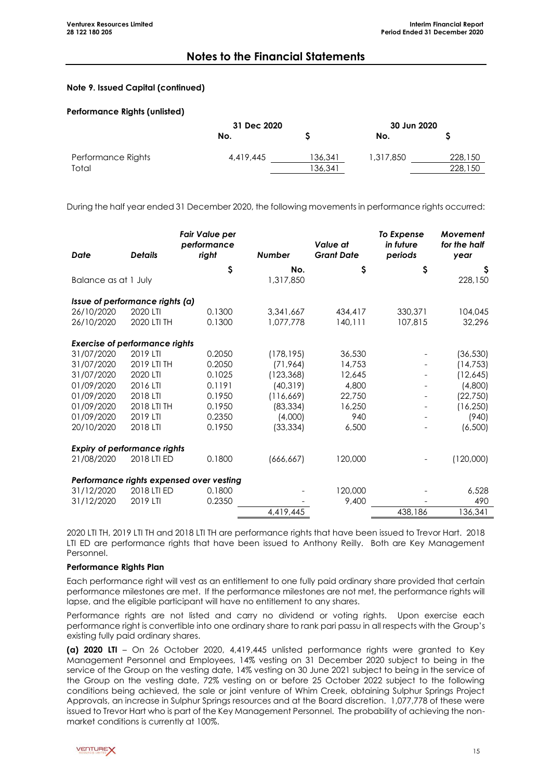### **Note 9. Issued Capital (continued)**

### **Performance Rights (unlisted)**

|                    | 31 Dec 2020 |         | 30 Jun 2020 |         |
|--------------------|-------------|---------|-------------|---------|
|                    | No.         |         | No.         |         |
| Performance Rights | 4,419,445   | 136,341 | 1,317,850   | 228,150 |
| Total              |             | 136,341 |             | 228,150 |
|                    |             |         |             |         |

During the half year ended 31 December 2020, the following movements in performance rights occurred:

| Date                                  | <b>Details</b> | <b>Fair Value per</b><br>performance<br>right | <b>Number</b> | Value at<br><b>Grant Date</b> | To Expense<br>in future<br>periods | Movement<br>for the half<br>year |
|---------------------------------------|----------------|-----------------------------------------------|---------------|-------------------------------|------------------------------------|----------------------------------|
|                                       |                | \$                                            | No.           | \$                            | \$                                 | \$,                              |
| Balance as at 1 July                  |                |                                               | 1,317,850     |                               |                                    | 228,150                          |
| Issue of performance rights (a)       |                |                                               |               |                               |                                    |                                  |
| 26/10/2020                            | 2020 LTI       | 0.1300                                        | 3,341,667     | 434,417                       | 330,371                            | 104,045                          |
| 26/10/2020                            | 2020 LTI TH    | 0.1300                                        | 1,077,778     | 140, 111                      | 107,815                            | 32,296                           |
| <b>Exercise of performance rights</b> |                |                                               |               |                               |                                    |                                  |
| 31/07/2020                            | 2019 LTI       | 0.2050                                        | (178, 195)    | 36,530                        |                                    | (36, 530)                        |
| 31/07/2020                            | 2019 LTI TH    | 0.2050                                        | (71, 964)     | 14,753                        |                                    | (14, 753)                        |
| 31/07/2020                            | 2020 LTI       | 0.1025                                        | (123, 368)    | 12,645                        |                                    | (12,645)                         |
| 01/09/2020                            | 2016 LTI       | 0.1191                                        | (40, 319)     | 4,800                         |                                    | (4,800)                          |
| 01/09/2020                            | 2018 LTI       | 0.1950                                        | (116, 669)    | 22,750                        |                                    | (22,750)                         |
| 01/09/2020                            | 2018 LTI TH    | 0.1950                                        | (83, 334)     | 16,250                        |                                    | (16, 250)                        |
| 01/09/2020                            | 2019 LTI       | 0.2350                                        | (4,000)       | 940                           |                                    | (940)                            |
| 20/10/2020                            | 2018 LTI       | 0.1950                                        | (33, 334)     | 6,500                         |                                    | (6,500)                          |
| <b>Expiry of performance rights</b>   |                |                                               |               |                               |                                    |                                  |
| 21/08/2020                            | 2018 LTI ED    | 0.1800                                        | (666, 667)    | 120,000                       |                                    | (120,000)                        |
|                                       |                | Performance rights expensed over vesting      |               |                               |                                    |                                  |
| 31/12/2020                            | 2018 LTI ED    | 0.1800                                        |               | 120,000                       |                                    | 6,528                            |
| 31/12/2020                            | 2019 LTI       | 0.2350                                        |               | 9,400                         |                                    | 490                              |
|                                       |                |                                               | 4,419,445     |                               | 438,186                            | 136,341                          |

2020 LTI TH, 2019 LTI TH and 2018 LTI TH are performance rights that have been issued to Trevor Hart. 2018 LTI ED are performance rights that have been issued to Anthony Reilly. Both are Key Management Personnel.

### **Performance Rights Plan**

Each performance right will vest as an entitlement to one fully paid ordinary share provided that certain performance milestones are met. If the performance milestones are not met, the performance rights will lapse, and the eligible participant will have no entitlement to any shares.

Performance rights are not listed and carry no dividend or voting rights. Upon exercise each performance right is convertible into one ordinary share to rank pari passu in all respects with the Group's existing fully paid ordinary shares.

**(a) 2020 LTI** – On 26 October 2020, 4,419,445 unlisted performance rights were granted to Key Management Personnel and Employees, 14% vesting on 31 December 2020 subject to being in the service of the Group on the vesting date, 14% vesting on 30 June 2021 subject to being in the service of the Group on the vesting date, 72% vesting on or before 25 October 2022 subject to the following conditions being achieved, the sale or joint venture of Whim Creek, obtaining Sulphur Springs Project Approvals, an increase in Sulphur Springs resources and at the Board discretion. 1,077,778 of these were issued to Trevor Hart who is part of the Key Management Personnel. The probability of achieving the nonmarket conditions is currently at 100%.

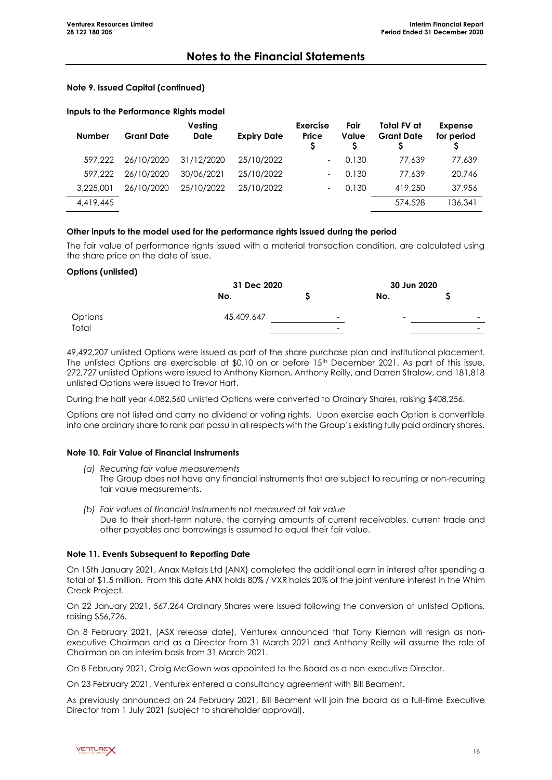### **Note 9. Issued Capital (continued)**

### **Inputs to the Performance Rights model**

| <b>Number</b> | <b>Grant Date</b> | Vesting<br><b>Date</b> | <b>Expiry Date</b> | <b>Exercise</b><br>Price | Fair<br>Value | Total FV at<br><b>Grant Date</b> | <b>Expense</b><br>for period |
|---------------|-------------------|------------------------|--------------------|--------------------------|---------------|----------------------------------|------------------------------|
| 597.222       | 26/10/2020        | 31/12/2020             | 25/10/2022         |                          | 0.130         | 77.639                           | 77.639                       |
| 597.222       | 26/10/2020        | 30/06/2021             | 25/10/2022         |                          | 0.130         | 77.639                           | 20,746                       |
| 3,225,001     | 26/10/2020        | 25/10/2022             | 25/10/2022         |                          | 0.130         | 419,250                          | 37,956                       |
| 4,419,445     |                   |                        |                    |                          |               | 574,528                          | 136,341                      |

### **Other inputs to the model used for the performance rights issued during the period**

The fair value of performance rights issued with a material transaction condition, are calculated using the share price on the date of issue.

### **Options (unlisted)**

|                | 31 Dec 2020 |   | 30 Jun 2020              |                          |
|----------------|-------------|---|--------------------------|--------------------------|
|                | No.         |   | No.                      |                          |
| <b>Options</b> | 45,409,647  | - | $\overline{\phantom{0}}$ | $\overline{\phantom{a}}$ |
| Total          |             | - |                          | $\overline{\phantom{0}}$ |

49,492,207 unlisted Options were issued as part of the share purchase plan and institutional placement. The unlisted Options are exercisable at \$0.10 on or before 15<sup>th</sup> December 2021. As part of this issue, 272,727 unlisted Options were issued to Anthony Kiernan, Anthony Reilly, and Darren Stralow, and 181,818 unlisted Options were issued to Trevor Hart.

During the half year 4,082,560 unlisted Options were converted to Ordinary Shares, raising \$408,256.

Options are not listed and carry no dividend or voting rights. Upon exercise each Option is convertible into one ordinary share to rank pari passu in all respects with the Group's existing fully paid ordinary shares.

### **Note 10. Fair Value of Financial Instruments**

- *(a) Recurring fair value measurements* The Group does not have any financial instruments that are subject to recurring or non-recurring fair value measurements.
- *(b) Fair values of financial instruments not measured at fair value* Due to their short-term nature, the carrying amounts of current receivables, current trade and other payables and borrowings is assumed to equal their fair value.

### **Note 11. Events Subsequent to Reporting Date**

On 15th January 2021, Anax Metals Ltd (ANX) completed the additional earn in interest after spending a total of \$1.5 million. From this date ANX holds 80% / VXR holds 20% of the joint venture interest in the Whim Creek Project.

On 22 January 2021, 567,264 Ordinary Shares were issued following the conversion of unlisted Options, raising \$56,726.

On 8 February 2021, (ASX release date), Venturex announced that Tony Kiernan will resign as nonexecutive Chairman and as a Director from 31 March 2021 and Anthony Reilly will assume the role of Chairman on an interim basis from 31 March 2021.

On 8 February 2021, Craig McGown was appointed to the Board as a non-executive Director.

On 23 February 2021, Venturex entered a consultancy agreement with Bill Beament.

As previously announced on 24 February 2021, Bill Beament will join the board as a full-time Executive Director from 1 July 2021 (subject to shareholder approval).

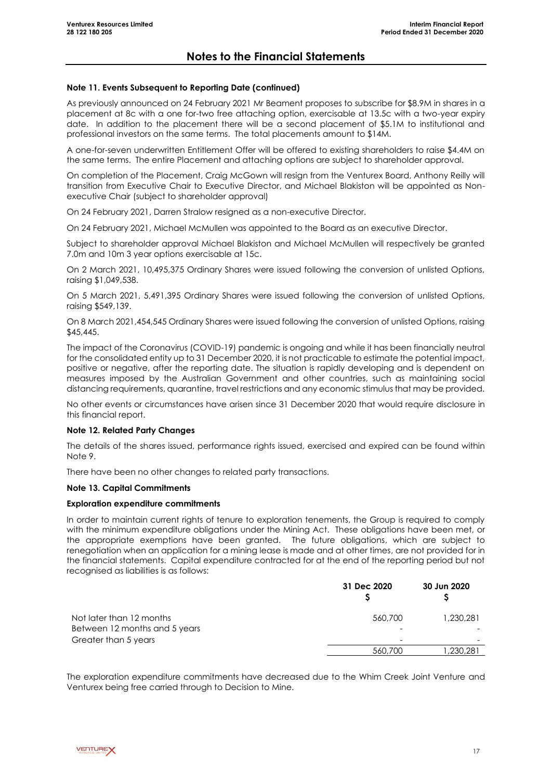#### **Note 11. Events Subsequent to Reporting Date (continued)**

As previously announced on 24 February 2021 Mr Beament proposes to subscribe for \$8.9M in shares in a placement at 8c with a one for-two free attaching option, exercisable at 13.5c with a two-year expiry date. In addition to the placement there will be a second placement of \$5.1M to institutional and professional investors on the same terms. The total placements amount to \$14M.

A one-for-seven underwritten Entitlement Offer will be offered to existing shareholders to raise \$4.4M on the same terms. The entire Placement and attaching options are subject to shareholder approval.

On completion of the Placement, Craig McGown will resign from the Venturex Board, Anthony Reilly will transition from Executive Chair to Executive Director, and Michael Blakiston will be appointed as Nonexecutive Chair (subject to shareholder approval)

On 24 February 2021, Darren Stralow resigned as a non-executive Director.

On 24 February 2021, Michael McMullen was appointed to the Board as an executive Director.

Subject to shareholder approval Michael Blakiston and Michael McMullen will respectively be granted 7.0m and 10m 3 year options exercisable at 15c.

On 2 March 2021, 10,495,375 Ordinary Shares were issued following the conversion of unlisted Options, raising \$1,049,538.

On 5 March 2021, 5,491,395 Ordinary Shares were issued following the conversion of unlisted Options, raising \$549,139.

On 8 March 2021,454,545 Ordinary Shares were issued following the conversion of unlisted Options, raising \$45,445.

The impact of the Coronavirus (COVID-19) pandemic is ongoing and while it has been financially neutral for the consolidated entity up to 31 December 2020, it is not practicable to estimate the potential impact, positive or negative, after the reporting date. The situation is rapidly developing and is dependent on measures imposed by the Australian Government and other countries, such as maintaining social distancing requirements, quarantine, travel restrictions and any economic stimulus that may be provided.

No other events or circumstances have arisen since 31 December 2020 that would require disclosure in this financial report.

### **Note 12. Related Party Changes**

The details of the shares issued, performance rights issued, exercised and expired can be found within Note 9.

There have been no other changes to related party transactions.

### **Note 13. Capital Commitments**

#### **Exploration expenditure commitments**

In order to maintain current rights of tenure to exploration tenements, the Group is required to comply with the minimum expenditure obligations under the Mining Act. These obligations have been met, or the appropriate exemptions have been granted. The future obligations, which are subject to renegotiation when an application for a mining lease is made and at other times, are not provided for in the financial statements. Capital expenditure contracted for at the end of the reporting period but not recognised as liabilities is as follows:

|                                                                                   | 31 Dec 2020  | 30 Jun 2020 |
|-----------------------------------------------------------------------------------|--------------|-------------|
| Not later than 12 months<br>Between 12 months and 5 years<br>Greater than 5 years | 560,700<br>- | 1,230,281   |
|                                                                                   | 560,700      | .230.281    |

The exploration expenditure commitments have decreased due to the Whim Creek Joint Venture and Venturex being free carried through to Decision to Mine.

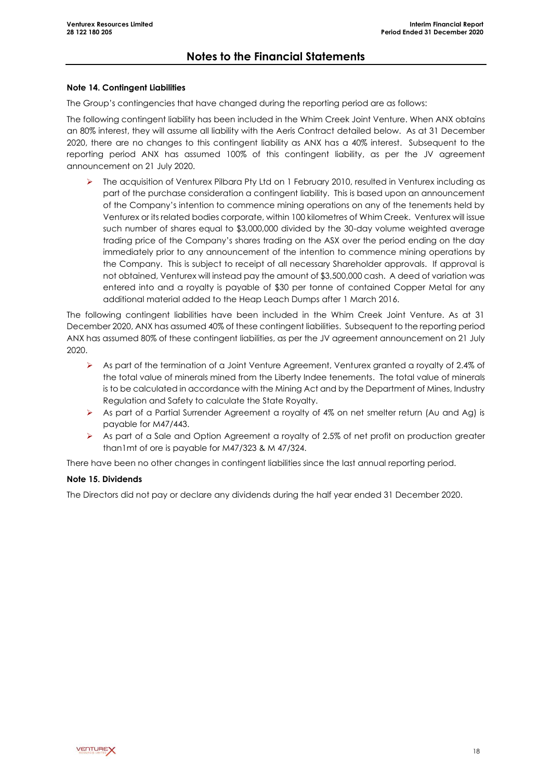### **Note 14. Contingent Liabilities**

The Group's contingencies that have changed during the reporting period are as follows:

The following contingent liability has been included in the Whim Creek Joint Venture. When ANX obtains an 80% interest, they will assume all liability with the Aeris Contract detailed below. As at 31 December 2020, there are no changes to this contingent liability as ANX has a 40% interest. Subsequent to the reporting period ANX has assumed 100% of this contingent liability, as per the JV agreement announcement on 21 July 2020.

➢ The acquisition of Venturex Pilbara Pty Ltd on 1 February 2010, resulted in Venturex including as part of the purchase consideration a contingent liability. This is based upon an announcement of the Company's intention to commence mining operations on any of the tenements held by Venturex or its related bodies corporate, within 100 kilometres of Whim Creek. Venturex will issue such number of shares equal to \$3,000,000 divided by the 30-day volume weighted average trading price of the Company's shares trading on the ASX over the period ending on the day immediately prior to any announcement of the intention to commence mining operations by the Company. This is subject to receipt of all necessary Shareholder approvals. If approval is not obtained, Venturex will instead pay the amount of \$3,500,000 cash. A deed of variation was entered into and a royalty is payable of \$30 per tonne of contained Copper Metal for any additional material added to the Heap Leach Dumps after 1 March 2016.

The following contingent liabilities have been included in the Whim Creek Joint Venture. As at 31 December 2020, ANX has assumed 40% of these contingent liabilities. Subsequent to the reporting period ANX has assumed 80% of these contingent liabilities, as per the JV agreement announcement on 21 July 2020.

- ➢ As part of the termination of a Joint Venture Agreement, Venturex granted a royalty of 2.4% of the total value of minerals mined from the Liberty Indee tenements. The total value of minerals is to be calculated in accordance with the Mining Act and by the Department of Mines, Industry Regulation and Safety to calculate the State Royalty.
- ➢ As part of a Partial Surrender Agreement a royalty of 4% on net smelter return (Au and Ag) is payable for M47/443.
- ➢ As part of a Sale and Option Agreement a royalty of 2.5% of net profit on production greater than1mt of ore is payable for M47/323 & M 47/324.

There have been no other changes in contingent liabilities since the last annual reporting period.

### **Note 15. Dividends**

The Directors did not pay or declare any dividends during the half year ended 31 December 2020.

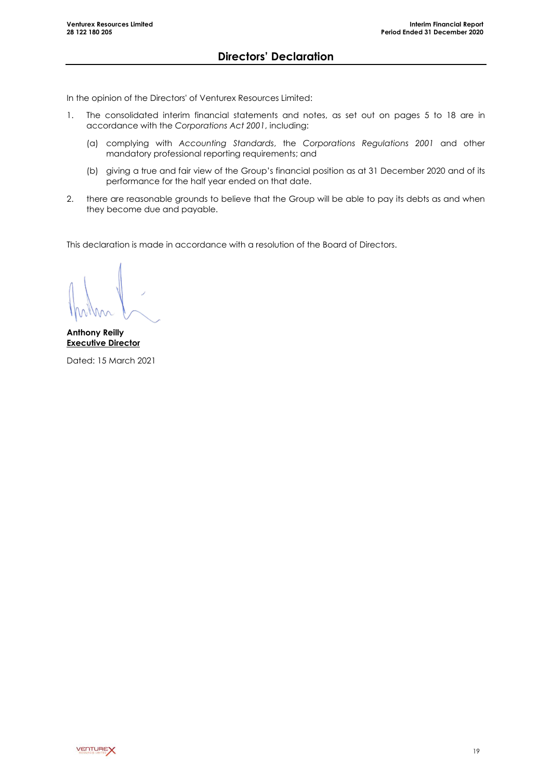In the opinion of the Directors' of Venturex Resources Limited:

- 1. The consolidated interim financial statements and notes, as set out on pages 5 to 18 are in accordance with the *Corporations Act 2001*, including:
	- (a) complying with *Accounting Standards*, the *Corporations Regulations 2001* and other mandatory professional reporting requirements; and
	- (b) giving a true and fair view of the Group's financial position as at 31 December 2020 and of its performance for the half year ended on that date.
- 2. there are reasonable grounds to believe that the Group will be able to pay its debts as and when they become due and payable.

This declaration is made in accordance with a resolution of the Board of Directors.

**Anthony Reilly Executive Director**

Dated: 15 March 2021

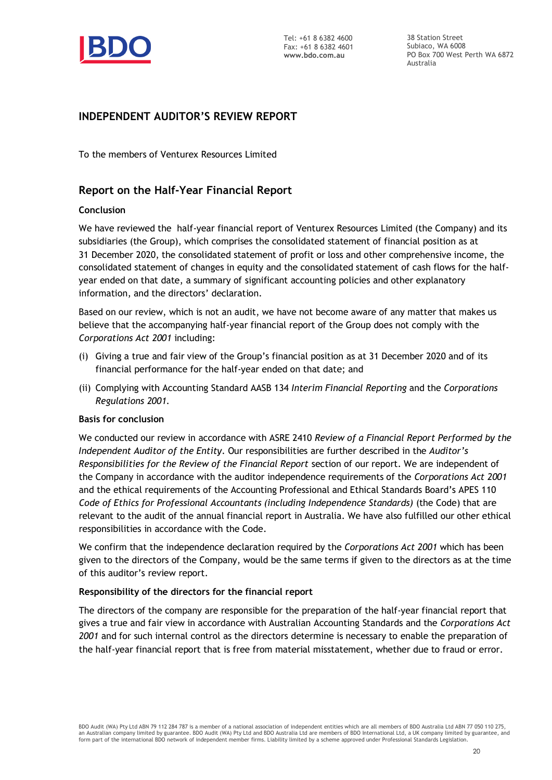

38 Station Street Subiaco, WA 6008 PO Box 700 West Perth WA 6872 Australia

## **INDEPENDENT AUDITOR'S REVIEW REPORT**

To the members of Venturex Resources Limited

## **Report on the Half-Year Financial Report**

### **Conclusion**

We have reviewed the half-year financial report of Venturex Resources Limited (the Company) and its subsidiaries (the Group), which comprises the consolidated statement of financial position as at 31 December 2020, the consolidated statement of profit or loss and other comprehensive income, the consolidated statement of changes in equity and the consolidated statement of cash flows for the halfyear ended on that date, a summary of significant accounting policies and other explanatory information, and the directors' declaration.

Based on our review, which is not an audit, we have not become aware of any matter that makes us believe that the accompanying half-year financial report of the Group does not comply with the *Corporations Act 2001* including:

- (i) Giving a true and fair view of the Group's financial position as at 31 December 2020 and of its financial performance for the half-year ended on that date; and
- (ii) Complying with Accounting Standard AASB 134 *Interim Financial Reporting* and the *Corporations Regulations 2001.*

### **Basis for conclusion**

We conducted our review in accordance with ASRE 2410 *Review of a Financial Report Performed by the Independent Auditor of the Entity*. Our responsibilities are further described in the *Auditor's Responsibilities for the Review of the Financial Report* section of our report. We are independent of the Company in accordance with the auditor independence requirements of the *Corporations Act 2001* and the ethical requirements of the Accounting Professional and Ethical Standards Board's APES 110 *Code of Ethics for Professional Accountants (including Independence Standards)* (the Code) that are relevant to the audit of the annual financial report in Australia. We have also fulfilled our other ethical responsibilities in accordance with the Code.

We confirm that the independence declaration required by the *Corporations Act 2001* which has been given to the directors of the Company, would be the same terms if given to the directors as at the time of this auditor's review report.

### **Responsibility of the directors for the financial report**

The directors of the company are responsible for the preparation of the half-year financial report that gives a true and fair view in accordance with Australian Accounting Standards and the *Corporations Act 2001* and for such internal control as the directors determine is necessary to enable the preparation of the half-year financial report that is free from material misstatement, whether due to fraud or error.